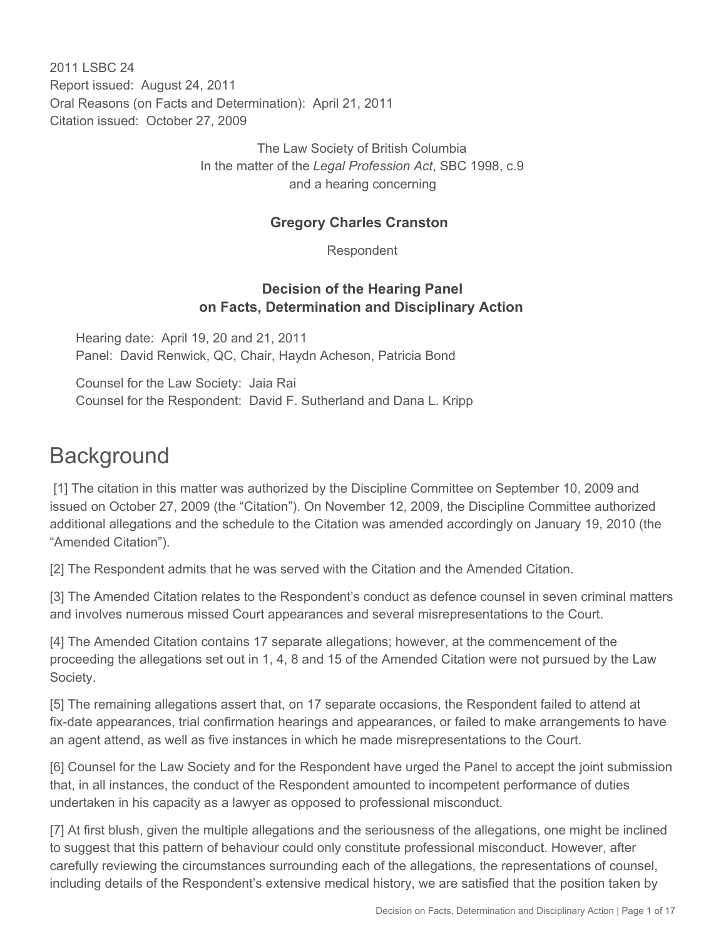2011 I SBC 24 Report issued: August 24, 2011 Oral Reasons (on Facts and Determination): April 21, 2011 Citation issued: October 27, 2009

> The Law Society of British Columbia In the matter of the *Legal Profession Act*, SBC 1998, c.9 and a hearing concerning

#### **Gregory Charles Cranston**

Respondent

#### **Decision of the Hearing Panel on Facts, Determination and Disciplinary Action**

Hearing date: April 19, 20 and 21, 2011 Panel: David Renwick, QC, Chair, Haydn Acheson, Patricia Bond

Counsel for the Law Society: Jaia Rai Counsel for the Respondent: David F. Sutherland and Dana L. Kripp

# **Background**

 [1] The citation in this matter was authorized by the Discipline Committee on September 10, 2009 and issued on October 27, 2009 (the "Citation"). On November 12, 2009, the Discipline Committee authorized additional allegations and the schedule to the Citation was amended accordingly on January 19, 2010 (the "Amended Citation").

[2] The Respondent admits that he was served with the Citation and the Amended Citation.

[3] The Amended Citation relates to the Respondent's conduct as defence counsel in seven criminal matters and involves numerous missed Court appearances and several misrepresentations to the Court.

[4] The Amended Citation contains 17 separate allegations; however, at the commencement of the proceeding the allegations set out in 1, 4, 8 and 15 of the Amended Citation were not pursued by the Law Society.

[5] The remaining allegations assert that, on 17 separate occasions, the Respondent failed to attend at fix-date appearances, trial confirmation hearings and appearances, or failed to make arrangements to have an agent attend, as well as five instances in which he made misrepresentations to the Court.

[6] Counsel for the Law Society and for the Respondent have urged the Panel to accept the joint submission that, in all instances, the conduct of the Respondent amounted to incompetent performance of duties undertaken in his capacity as a lawyer as opposed to professional misconduct.

[7] At first blush, given the multiple allegations and the seriousness of the allegations, one might be inclined to suggest that this pattern of behaviour could only constitute professional misconduct. However, after carefully reviewing the circumstances surrounding each of the allegations, the representations of counsel, including details of the Respondent's extensive medical history, we are satisfied that the position taken by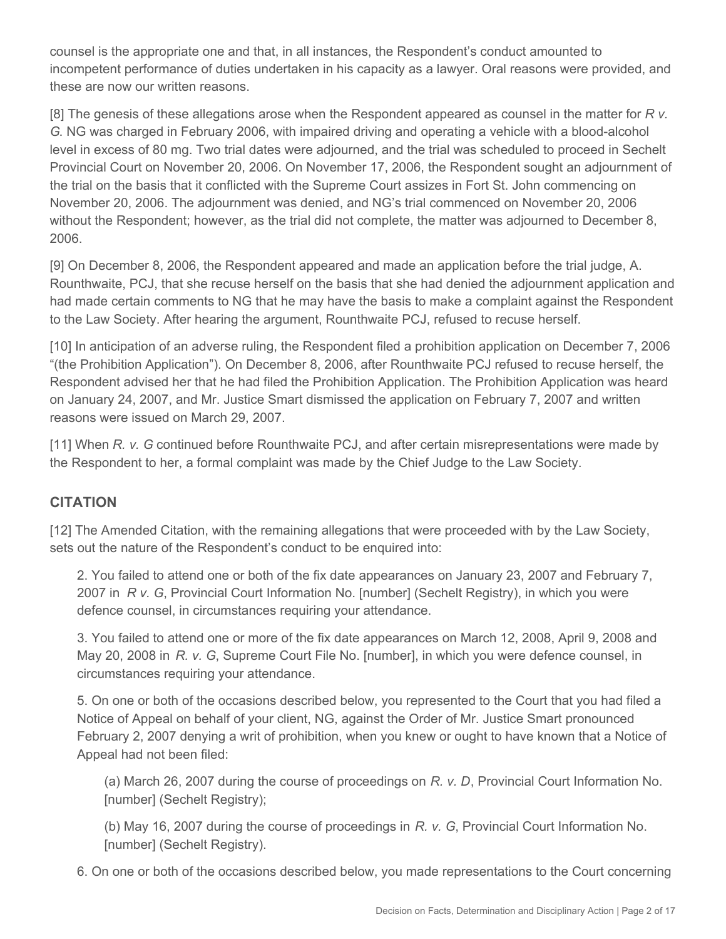counsel is the appropriate one and that, in all instances, the Respondent's conduct amounted to incompetent performance of duties undertaken in his capacity as a lawyer. Oral reasons were provided, and these are now our written reasons.

[8] The genesis of these allegations arose when the Respondent appeared as counsel in the matter for *R v. G*. NG was charged in February 2006, with impaired driving and operating a vehicle with a blood-alcohol level in excess of 80 mg. Two trial dates were adjourned, and the trial was scheduled to proceed in Sechelt Provincial Court on November 20, 2006. On November 17, 2006, the Respondent sought an adjournment of the trial on the basis that it conflicted with the Supreme Court assizes in Fort St. John commencing on November 20, 2006. The adjournment was denied, and NG's trial commenced on November 20, 2006 without the Respondent; however, as the trial did not complete, the matter was adjourned to December 8, 2006.

[9] On December 8, 2006, the Respondent appeared and made an application before the trial judge, A. Rounthwaite, PCJ, that she recuse herself on the basis that she had denied the adjournment application and had made certain comments to NG that he may have the basis to make a complaint against the Respondent to the Law Society. After hearing the argument, Rounthwaite PCJ, refused to recuse herself.

[10] In anticipation of an adverse ruling, the Respondent filed a prohibition application on December 7, 2006 "(the Prohibition Application"). On December 8, 2006, after Rounthwaite PCJ refused to recuse herself, the Respondent advised her that he had filed the Prohibition Application. The Prohibition Application was heard on January 24, 2007, and Mr. Justice Smart dismissed the application on February 7, 2007 and written reasons were issued on March 29, 2007.

[11] When *R. v. G* continued before Rounthwaite PCJ, and after certain misrepresentations were made by the Respondent to her, a formal complaint was made by the Chief Judge to the Law Society.

# **CITATION**

[12] The Amended Citation, with the remaining allegations that were proceeded with by the Law Society, sets out the nature of the Respondent's conduct to be enquired into:

2. You failed to attend one or both of the fix date appearances on January 23, 2007 and February 7, 2007 in *R v. G*, Provincial Court Information No. [number] (Sechelt Registry), in which you were defence counsel, in circumstances requiring your attendance.

3. You failed to attend one or more of the fix date appearances on March 12, 2008, April 9, 2008 and May 20, 2008 in *R. v. G*, Supreme Court File No. [number], in which you were defence counsel, in circumstances requiring your attendance.

5. On one or both of the occasions described below, you represented to the Court that you had filed a Notice of Appeal on behalf of your client, NG, against the Order of Mr. Justice Smart pronounced February 2, 2007 denying a writ of prohibition, when you knew or ought to have known that a Notice of Appeal had not been filed:

(a) March 26, 2007 during the course of proceedings on *R. v. D*, Provincial Court Information No. [number] (Sechelt Registry);

(b) May 16, 2007 during the course of proceedings in *R. v. G*, Provincial Court Information No. [number] (Sechelt Registry).

6. On one or both of the occasions described below, you made representations to the Court concerning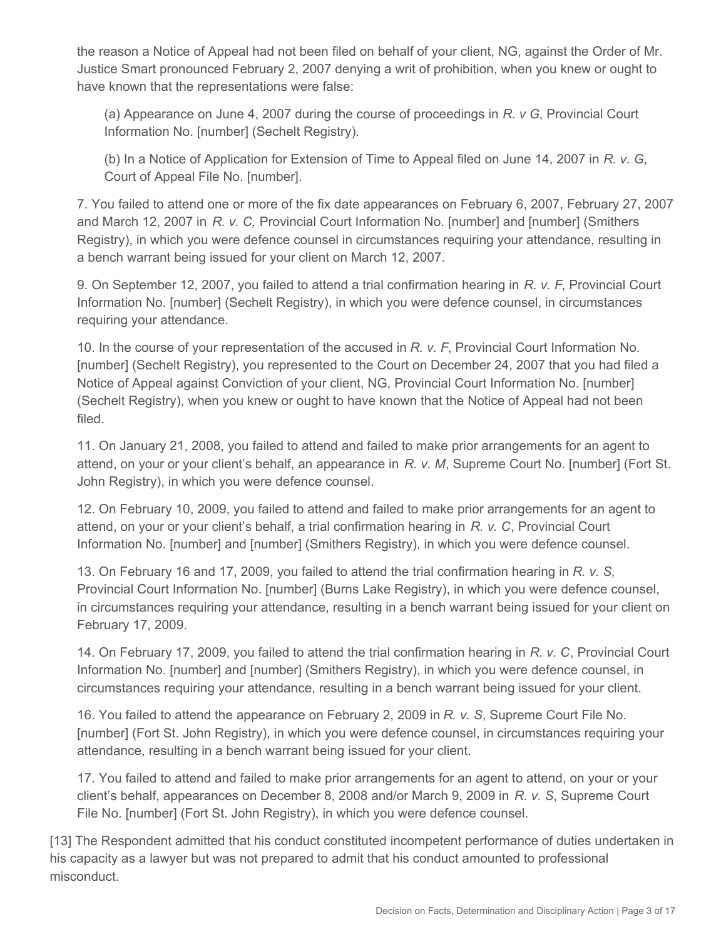the reason a Notice of Appeal had not been filed on behalf of your client, NG, against the Order of Mr. Justice Smart pronounced February 2, 2007 denying a writ of prohibition, when you knew or ought to have known that the representations were false:

(a) Appearance on June 4, 2007 during the course of proceedings in *R. v G*, Provincial Court Information No. [number] (Sechelt Registry).

(b) In a Notice of Application for Extension of Time to Appeal filed on June 14, 2007 in *R. v. G*, Court of Appeal File No. [number].

7. You failed to attend one or more of the fix date appearances on February 6, 2007, February 27, 2007 and March 12, 2007 in *R. v. C,* Provincial Court Information No. [number] and [number] (Smithers Registry), in which you were defence counsel in circumstances requiring your attendance, resulting in a bench warrant being issued for your client on March 12, 2007.

9. On September 12, 2007, you failed to attend a trial confirmation hearing in *R. v. F*, Provincial Court Information No. [number] (Sechelt Registry), in which you were defence counsel, in circumstances requiring your attendance.

10. In the course of your representation of the accused in *R. v. F*, Provincial Court Information No. [number] (Sechelt Registry), you represented to the Court on December 24, 2007 that you had filed a Notice of Appeal against Conviction of your client, NG, Provincial Court Information No. [number] (Sechelt Registry), when you knew or ought to have known that the Notice of Appeal had not been filed.

11. On January 21, 2008, you failed to attend and failed to make prior arrangements for an agent to attend, on your or your client's behalf, an appearance in *R. v. M*, Supreme Court No. [number] (Fort St. John Registry), in which you were defence counsel.

12. On February 10, 2009, you failed to attend and failed to make prior arrangements for an agent to attend, on your or your client's behalf, a trial confirmation hearing in *R. v. C*, Provincial Court Information No. [number] and [number] (Smithers Registry), in which you were defence counsel.

13. On February 16 and 17, 2009, you failed to attend the trial confirmation hearing in *R. v. S,* Provincial Court Information No. [number] (Burns Lake Registry), in which you were defence counsel, in circumstances requiring your attendance, resulting in a bench warrant being issued for your client on February 17, 2009.

14. On February 17, 2009, you failed to attend the trial confirmation hearing in *R. v. C*, Provincial Court Information No. [number] and [number] (Smithers Registry), in which you were defence counsel, in circumstances requiring your attendance, resulting in a bench warrant being issued for your client.

16. You failed to attend the appearance on February 2, 2009 in *R. v. S*, Supreme Court File No. [number] (Fort St. John Registry), in which you were defence counsel, in circumstances requiring your attendance, resulting in a bench warrant being issued for your client.

17. You failed to attend and failed to make prior arrangements for an agent to attend, on your or your client's behalf, appearances on December 8, 2008 and/or March 9, 2009 in *R. v. S*, Supreme Court File No. [number] (Fort St. John Registry), in which you were defence counsel.

[13] The Respondent admitted that his conduct constituted incompetent performance of duties undertaken in his capacity as a lawyer but was not prepared to admit that his conduct amounted to professional misconduct.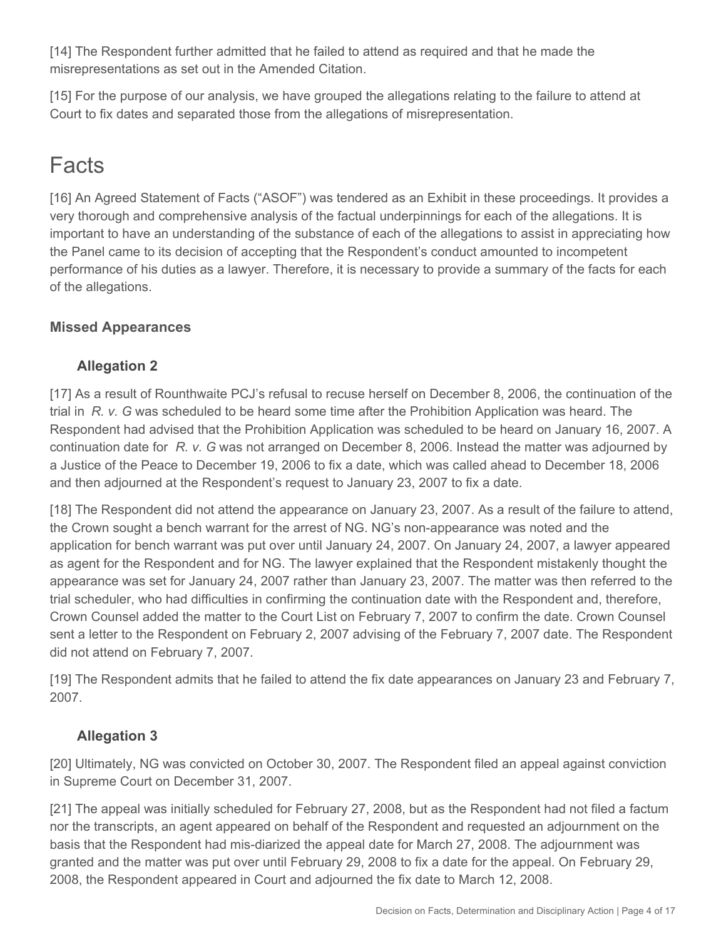[14] The Respondent further admitted that he failed to attend as required and that he made the misrepresentations as set out in the Amended Citation.

[15] For the purpose of our analysis, we have grouped the allegations relating to the failure to attend at Court to fix dates and separated those from the allegations of misrepresentation.

# Facts

[16] An Agreed Statement of Facts ("ASOF") was tendered as an Exhibit in these proceedings. It provides a very thorough and comprehensive analysis of the factual underpinnings for each of the allegations. It is important to have an understanding of the substance of each of the allegations to assist in appreciating how the Panel came to its decision of accepting that the Respondent's conduct amounted to incompetent performance of his duties as a lawyer. Therefore, it is necessary to provide a summary of the facts for each of the allegations.

# **Missed Appearances**

# **Allegation 2**

[17] As a result of Rounthwaite PCJ's refusal to recuse herself on December 8, 2006, the continuation of the trial in *R. v. G* was scheduled to be heard some time after the Prohibition Application was heard. The Respondent had advised that the Prohibition Application was scheduled to be heard on January 16, 2007. A continuation date for *R. v. G* was not arranged on December 8, 2006. Instead the matter was adjourned by a Justice of the Peace to December 19, 2006 to fix a date, which was called ahead to December 18, 2006 and then adjourned at the Respondent's request to January 23, 2007 to fix a date.

[18] The Respondent did not attend the appearance on January 23, 2007. As a result of the failure to attend, the Crown sought a bench warrant for the arrest of NG. NG's non-appearance was noted and the application for bench warrant was put over until January 24, 2007. On January 24, 2007, a lawyer appeared as agent for the Respondent and for NG. The lawyer explained that the Respondent mistakenly thought the appearance was set for January 24, 2007 rather than January 23, 2007. The matter was then referred to the trial scheduler, who had difficulties in confirming the continuation date with the Respondent and, therefore, Crown Counsel added the matter to the Court List on February 7, 2007 to confirm the date. Crown Counsel sent a letter to the Respondent on February 2, 2007 advising of the February 7, 2007 date. The Respondent did not attend on February 7, 2007.

[19] The Respondent admits that he failed to attend the fix date appearances on January 23 and February 7, 2007.

# **Allegation 3**

[20] Ultimately, NG was convicted on October 30, 2007. The Respondent filed an appeal against conviction in Supreme Court on December 31, 2007.

[21] The appeal was initially scheduled for February 27, 2008, but as the Respondent had not filed a factum nor the transcripts, an agent appeared on behalf of the Respondent and requested an adjournment on the basis that the Respondent had mis-diarized the appeal date for March 27, 2008. The adjournment was granted and the matter was put over until February 29, 2008 to fix a date for the appeal. On February 29, 2008, the Respondent appeared in Court and adjourned the fix date to March 12, 2008.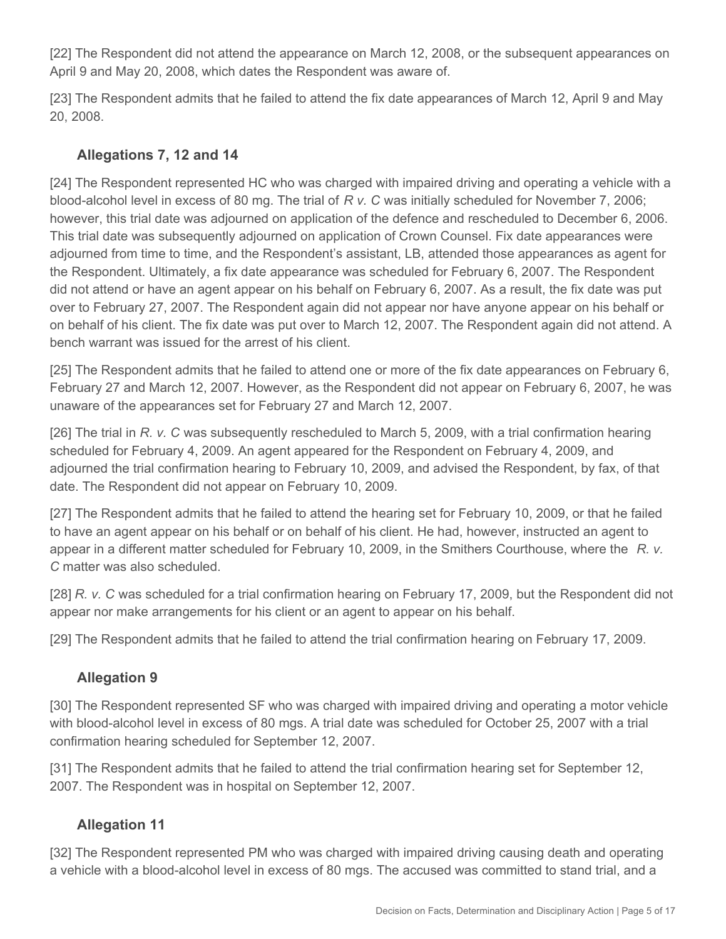[22] The Respondent did not attend the appearance on March 12, 2008, or the subsequent appearances on April 9 and May 20, 2008, which dates the Respondent was aware of.

[23] The Respondent admits that he failed to attend the fix date appearances of March 12, April 9 and May 20, 2008.

#### **Allegations 7, 12 and 14**

[24] The Respondent represented HC who was charged with impaired driving and operating a vehicle with a blood-alcohol level in excess of 80 mg. The trial of *R v. C* was initially scheduled for November 7, 2006; however, this trial date was adjourned on application of the defence and rescheduled to December 6, 2006. This trial date was subsequently adjourned on application of Crown Counsel. Fix date appearances were adjourned from time to time, and the Respondent's assistant, LB, attended those appearances as agent for the Respondent. Ultimately, a fix date appearance was scheduled for February 6, 2007. The Respondent did not attend or have an agent appear on his behalf on February 6, 2007. As a result, the fix date was put over to February 27, 2007. The Respondent again did not appear nor have anyone appear on his behalf or on behalf of his client. The fix date was put over to March 12, 2007. The Respondent again did not attend. A bench warrant was issued for the arrest of his client.

[25] The Respondent admits that he failed to attend one or more of the fix date appearances on February 6, February 27 and March 12, 2007. However, as the Respondent did not appear on February 6, 2007, he was unaware of the appearances set for February 27 and March 12, 2007.

[26] The trial in *R. v. C* was subsequently rescheduled to March 5, 2009, with a trial confirmation hearing scheduled for February 4, 2009. An agent appeared for the Respondent on February 4, 2009, and adjourned the trial confirmation hearing to February 10, 2009, and advised the Respondent, by fax, of that date. The Respondent did not appear on February 10, 2009.

[27] The Respondent admits that he failed to attend the hearing set for February 10, 2009, or that he failed to have an agent appear on his behalf or on behalf of his client. He had, however, instructed an agent to appear in a different matter scheduled for February 10, 2009, in the Smithers Courthouse, where the *R. v. C* matter was also scheduled.

[28] *R. v. C* was scheduled for a trial confirmation hearing on February 17, 2009, but the Respondent did not appear nor make arrangements for his client or an agent to appear on his behalf.

[29] The Respondent admits that he failed to attend the trial confirmation hearing on February 17, 2009.

#### **Allegation 9**

[30] The Respondent represented SF who was charged with impaired driving and operating a motor vehicle with blood-alcohol level in excess of 80 mgs. A trial date was scheduled for October 25, 2007 with a trial confirmation hearing scheduled for September 12, 2007.

[31] The Respondent admits that he failed to attend the trial confirmation hearing set for September 12, 2007. The Respondent was in hospital on September 12, 2007.

#### **Allegation 11**

[32] The Respondent represented PM who was charged with impaired driving causing death and operating a vehicle with a blood-alcohol level in excess of 80 mgs. The accused was committed to stand trial, and a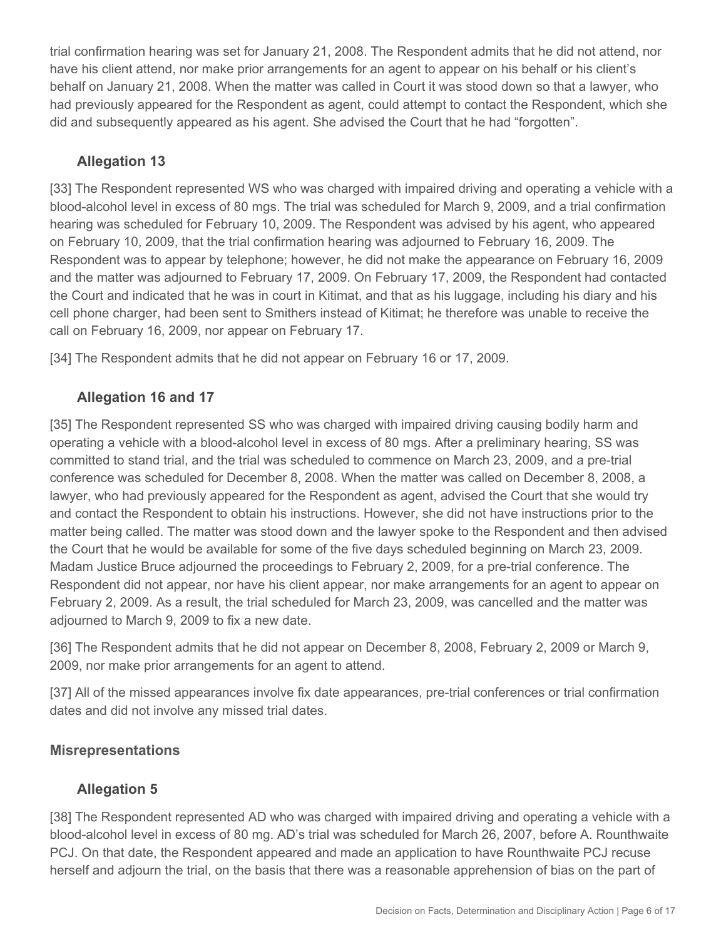trial confirmation hearing was set for January 21, 2008. The Respondent admits that he did not attend, nor have his client attend, nor make prior arrangements for an agent to appear on his behalf or his client's behalf on January 21, 2008. When the matter was called in Court it was stood down so that a lawyer, who had previously appeared for the Respondent as agent, could attempt to contact the Respondent, which she did and subsequently appeared as his agent. She advised the Court that he had "forgotten".

# **Allegation 13**

[33] The Respondent represented WS who was charged with impaired driving and operating a vehicle with a blood-alcohol level in excess of 80 mgs. The trial was scheduled for March 9, 2009, and a trial confirmation hearing was scheduled for February 10, 2009. The Respondent was advised by his agent, who appeared on February 10, 2009, that the trial confirmation hearing was adjourned to February 16, 2009. The Respondent was to appear by telephone; however, he did not make the appearance on February 16, 2009 and the matter was adjourned to February 17, 2009. On February 17, 2009, the Respondent had contacted the Court and indicated that he was in court in Kitimat, and that as his luggage, including his diary and his cell phone charger, had been sent to Smithers instead of Kitimat; he therefore was unable to receive the call on February 16, 2009, nor appear on February 17.

[34] The Respondent admits that he did not appear on February 16 or 17, 2009.

### **Allegation 16 and 17**

[35] The Respondent represented SS who was charged with impaired driving causing bodily harm and operating a vehicle with a blood-alcohol level in excess of 80 mgs. After a preliminary hearing, SS was committed to stand trial, and the trial was scheduled to commence on March 23, 2009, and a pre-trial conference was scheduled for December 8, 2008. When the matter was called on December 8, 2008, a lawyer, who had previously appeared for the Respondent as agent, advised the Court that she would try and contact the Respondent to obtain his instructions. However, she did not have instructions prior to the matter being called. The matter was stood down and the lawyer spoke to the Respondent and then advised the Court that he would be available for some of the five days scheduled beginning on March 23, 2009. Madam Justice Bruce adjourned the proceedings to February 2, 2009, for a pre-trial conference. The Respondent did not appear, nor have his client appear, nor make arrangements for an agent to appear on February 2, 2009. As a result, the trial scheduled for March 23, 2009, was cancelled and the matter was adjourned to March 9, 2009 to fix a new date.

[36] The Respondent admits that he did not appear on December 8, 2008, February 2, 2009 or March 9, 2009, nor make prior arrangements for an agent to attend.

[37] All of the missed appearances involve fix date appearances, pre-trial conferences or trial confirmation dates and did not involve any missed trial dates.

#### **Misrepresentations**

#### **Allegation 5**

[38] The Respondent represented AD who was charged with impaired driving and operating a vehicle with a blood-alcohol level in excess of 80 mg. AD's trial was scheduled for March 26, 2007, before A. Rounthwaite PCJ. On that date, the Respondent appeared and made an application to have Rounthwaite PCJ recuse herself and adjourn the trial, on the basis that there was a reasonable apprehension of bias on the part of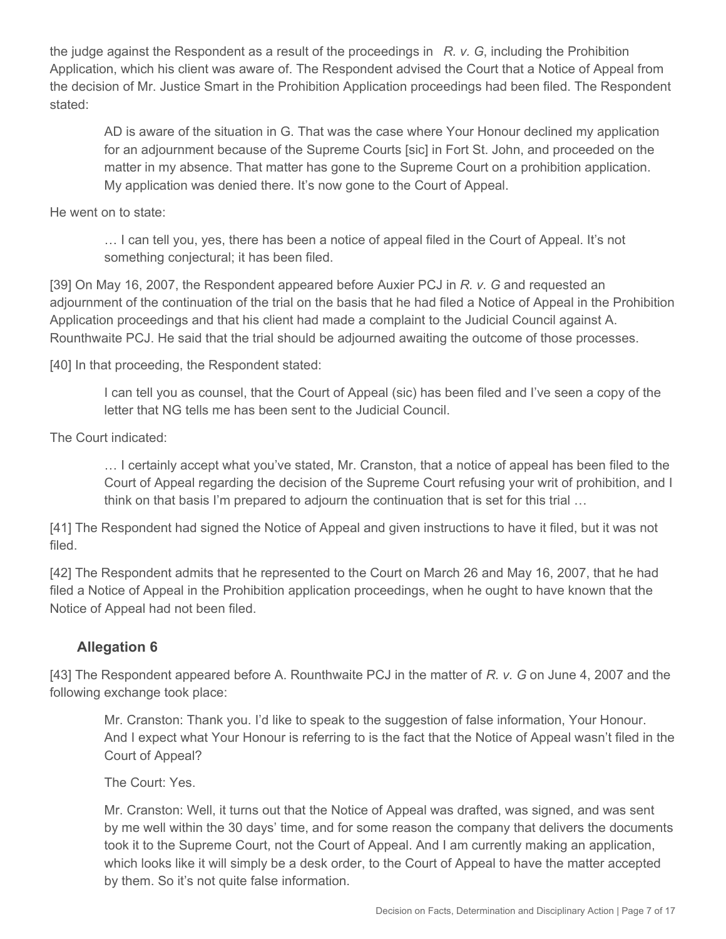the judge against the Respondent as a result of the proceedings in *R. v. G*, including the Prohibition Application, which his client was aware of. The Respondent advised the Court that a Notice of Appeal from the decision of Mr. Justice Smart in the Prohibition Application proceedings had been filed. The Respondent stated:

AD is aware of the situation in G. That was the case where Your Honour declined my application for an adjournment because of the Supreme Courts [sic] in Fort St. John, and proceeded on the matter in my absence. That matter has gone to the Supreme Court on a prohibition application. My application was denied there. It's now gone to the Court of Appeal.

He went on to state:

… I can tell you, yes, there has been a notice of appeal filed in the Court of Appeal. It's not something conjectural; it has been filed.

[39] On May 16, 2007, the Respondent appeared before Auxier PCJ in *R. v. G* and requested an adjournment of the continuation of the trial on the basis that he had filed a Notice of Appeal in the Prohibition Application proceedings and that his client had made a complaint to the Judicial Council against A. Rounthwaite PCJ. He said that the trial should be adjourned awaiting the outcome of those processes.

[40] In that proceeding, the Respondent stated:

I can tell you as counsel, that the Court of Appeal (sic) has been filed and I've seen a copy of the letter that NG tells me has been sent to the Judicial Council.

The Court indicated:

… I certainly accept what you've stated, Mr. Cranston, that a notice of appeal has been filed to the Court of Appeal regarding the decision of the Supreme Court refusing your writ of prohibition, and I think on that basis I'm prepared to adjourn the continuation that is set for this trial …

[41] The Respondent had signed the Notice of Appeal and given instructions to have it filed, but it was not filed.

[42] The Respondent admits that he represented to the Court on March 26 and May 16, 2007, that he had filed a Notice of Appeal in the Prohibition application proceedings, when he ought to have known that the Notice of Appeal had not been filed.

#### **Allegation 6**

[43] The Respondent appeared before A. Rounthwaite PCJ in the matter of *R. v. G* on June 4, 2007 and the following exchange took place:

Mr. Cranston: Thank you. I'd like to speak to the suggestion of false information, Your Honour. And I expect what Your Honour is referring to is the fact that the Notice of Appeal wasn't filed in the Court of Appeal?

The Court: Yes.

Mr. Cranston: Well, it turns out that the Notice of Appeal was drafted, was signed, and was sent by me well within the 30 days' time, and for some reason the company that delivers the documents took it to the Supreme Court, not the Court of Appeal. And I am currently making an application, which looks like it will simply be a desk order, to the Court of Appeal to have the matter accepted by them. So it's not quite false information.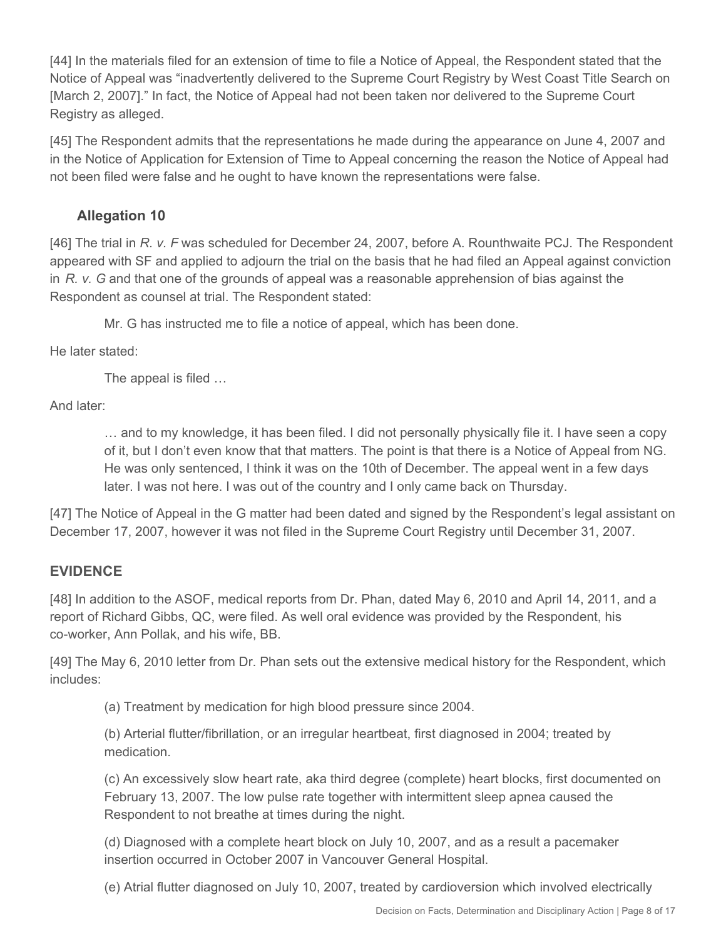[44] In the materials filed for an extension of time to file a Notice of Appeal, the Respondent stated that the Notice of Appeal was "inadvertently delivered to the Supreme Court Registry by West Coast Title Search on [March 2, 2007]." In fact, the Notice of Appeal had not been taken nor delivered to the Supreme Court Registry as alleged.

[45] The Respondent admits that the representations he made during the appearance on June 4, 2007 and in the Notice of Application for Extension of Time to Appeal concerning the reason the Notice of Appeal had not been filed were false and he ought to have known the representations were false.

## **Allegation 10**

[46] The trial in *R. v. F* was scheduled for December 24, 2007, before A. Rounthwaite PCJ. The Respondent appeared with SF and applied to adjourn the trial on the basis that he had filed an Appeal against conviction in *R. v. G* and that one of the grounds of appeal was a reasonable apprehension of bias against the Respondent as counsel at trial. The Respondent stated:

Mr. G has instructed me to file a notice of appeal, which has been done.

He later stated:

The appeal is filed …

And later:

… and to my knowledge, it has been filed. I did not personally physically file it. I have seen a copy of it, but I don't even know that that matters. The point is that there is a Notice of Appeal from NG. He was only sentenced, I think it was on the 10th of December. The appeal went in a few days later. I was not here. I was out of the country and I only came back on Thursday.

[47] The Notice of Appeal in the G matter had been dated and signed by the Respondent's legal assistant on December 17, 2007, however it was not filed in the Supreme Court Registry until December 31, 2007.

#### **EVIDENCE**

[48] In addition to the ASOF, medical reports from Dr. Phan, dated May 6, 2010 and April 14, 2011, and a report of Richard Gibbs, QC, were filed. As well oral evidence was provided by the Respondent, his co-worker, Ann Pollak, and his wife, BB.

[49] The May 6, 2010 letter from Dr. Phan sets out the extensive medical history for the Respondent, which includes:

(a) Treatment by medication for high blood pressure since 2004.

(b) Arterial flutter/fibrillation, or an irregular heartbeat, first diagnosed in 2004; treated by medication.

(c) An excessively slow heart rate, aka third degree (complete) heart blocks, first documented on February 13, 2007. The low pulse rate together with intermittent sleep apnea caused the Respondent to not breathe at times during the night.

(d) Diagnosed with a complete heart block on July 10, 2007, and as a result a pacemaker insertion occurred in October 2007 in Vancouver General Hospital.

(e) Atrial flutter diagnosed on July 10, 2007, treated by cardioversion which involved electrically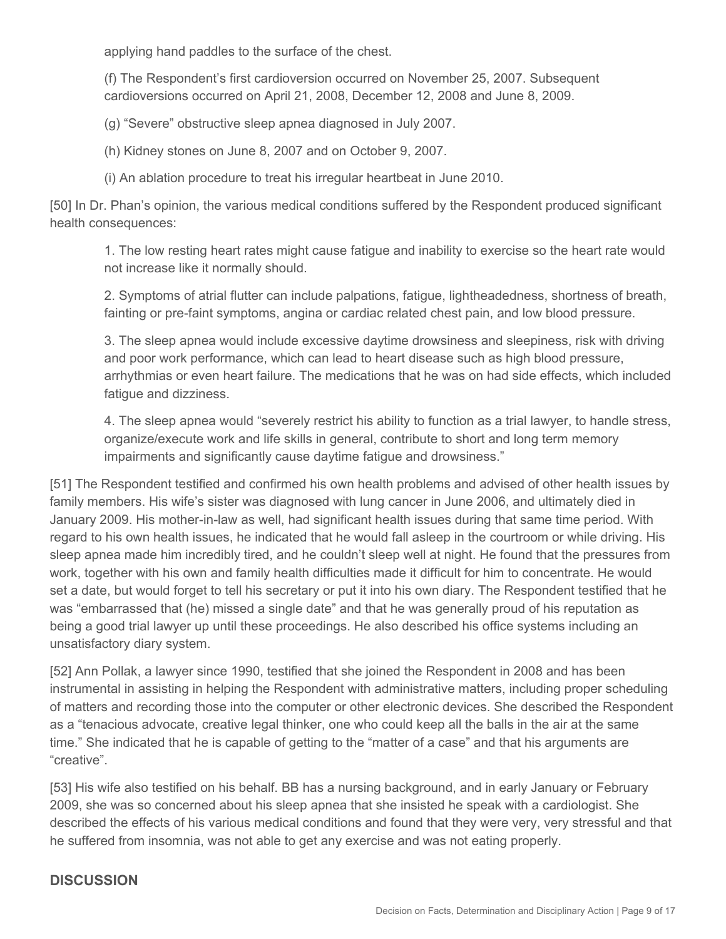applying hand paddles to the surface of the chest.

(f) The Respondent's first cardioversion occurred on November 25, 2007. Subsequent cardioversions occurred on April 21, 2008, December 12, 2008 and June 8, 2009.

(g) "Severe" obstructive sleep apnea diagnosed in July 2007.

(h) Kidney stones on June 8, 2007 and on October 9, 2007.

(i) An ablation procedure to treat his irregular heartbeat in June 2010.

[50] In Dr. Phan's opinion, the various medical conditions suffered by the Respondent produced significant health consequences:

1. The low resting heart rates might cause fatigue and inability to exercise so the heart rate would not increase like it normally should.

2. Symptoms of atrial flutter can include palpations, fatigue, lightheadedness, shortness of breath, fainting or pre-faint symptoms, angina or cardiac related chest pain, and low blood pressure.

3. The sleep apnea would include excessive daytime drowsiness and sleepiness, risk with driving and poor work performance, which can lead to heart disease such as high blood pressure, arrhythmias or even heart failure. The medications that he was on had side effects, which included fatigue and dizziness.

4. The sleep apnea would "severely restrict his ability to function as a trial lawyer, to handle stress, organize/execute work and life skills in general, contribute to short and long term memory impairments and significantly cause daytime fatigue and drowsiness."

[51] The Respondent testified and confirmed his own health problems and advised of other health issues by family members. His wife's sister was diagnosed with lung cancer in June 2006, and ultimately died in January 2009. His mother-in-law as well, had significant health issues during that same time period. With regard to his own health issues, he indicated that he would fall asleep in the courtroom or while driving. His sleep apnea made him incredibly tired, and he couldn't sleep well at night. He found that the pressures from work, together with his own and family health difficulties made it difficult for him to concentrate. He would set a date, but would forget to tell his secretary or put it into his own diary. The Respondent testified that he was "embarrassed that (he) missed a single date" and that he was generally proud of his reputation as being a good trial lawyer up until these proceedings. He also described his office systems including an unsatisfactory diary system.

[52] Ann Pollak, a lawyer since 1990, testified that she joined the Respondent in 2008 and has been instrumental in assisting in helping the Respondent with administrative matters, including proper scheduling of matters and recording those into the computer or other electronic devices. She described the Respondent as a "tenacious advocate, creative legal thinker, one who could keep all the balls in the air at the same time." She indicated that he is capable of getting to the "matter of a case" and that his arguments are "creative".

[53] His wife also testified on his behalf. BB has a nursing background, and in early January or February 2009, she was so concerned about his sleep apnea that she insisted he speak with a cardiologist. She described the effects of his various medical conditions and found that they were very, very stressful and that he suffered from insomnia, was not able to get any exercise and was not eating properly.

#### **DISCUSSION**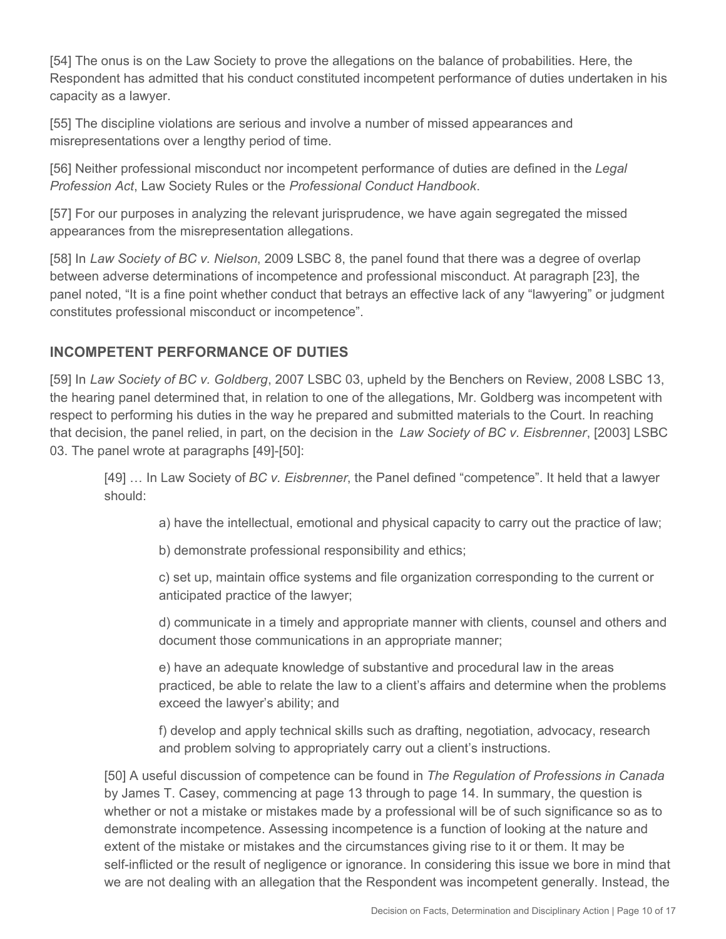[54] The onus is on the Law Society to prove the allegations on the balance of probabilities. Here, the Respondent has admitted that his conduct constituted incompetent performance of duties undertaken in his capacity as a lawyer.

[55] The discipline violations are serious and involve a number of missed appearances and misrepresentations over a lengthy period of time.

[56] Neither professional misconduct nor incompetent performance of duties are defined in the *Legal Profession Act*, Law Society Rules or the *Professional Conduct Handbook*.

[57] For our purposes in analyzing the relevant jurisprudence, we have again segregated the missed appearances from the misrepresentation allegations.

[58] In *Law Society of BC v. Nielson*, 2009 LSBC 8, the panel found that there was a degree of overlap between adverse determinations of incompetence and professional misconduct. At paragraph [23], the panel noted, "It is a fine point whether conduct that betrays an effective lack of any "lawyering" or judgment constitutes professional misconduct or incompetence".

### **INCOMPETENT PERFORMANCE OF DUTIES**

[59] In *Law Society of BC v. Goldberg*, 2007 LSBC 03, upheld by the Benchers on Review, 2008 LSBC 13, the hearing panel determined that, in relation to one of the allegations, Mr. Goldberg was incompetent with respect to performing his duties in the way he prepared and submitted materials to the Court. In reaching that decision, the panel relied, in part, on the decision in the *Law Society of BC v. Eisbrenner*, [2003] LSBC 03. The panel wrote at paragraphs [49]-[50]:

[49] … In Law Society of *BC v. Eisbrenner*, the Panel defined "competence". It held that a lawyer should:

a) have the intellectual, emotional and physical capacity to carry out the practice of law;

b) demonstrate professional responsibility and ethics;

c) set up, maintain office systems and file organization corresponding to the current or anticipated practice of the lawyer;

d) communicate in a timely and appropriate manner with clients, counsel and others and document those communications in an appropriate manner;

e) have an adequate knowledge of substantive and procedural law in the areas practiced, be able to relate the law to a client's affairs and determine when the problems exceed the lawyer's ability; and

f) develop and apply technical skills such as drafting, negotiation, advocacy, research and problem solving to appropriately carry out a client's instructions.

[50] A useful discussion of competence can be found in *The Regulation of Professions in Canada*  by James T. Casey, commencing at page 13 through to page 14. In summary, the question is whether or not a mistake or mistakes made by a professional will be of such significance so as to demonstrate incompetence. Assessing incompetence is a function of looking at the nature and extent of the mistake or mistakes and the circumstances giving rise to it or them. It may be self-inflicted or the result of negligence or ignorance. In considering this issue we bore in mind that we are not dealing with an allegation that the Respondent was incompetent generally. Instead, the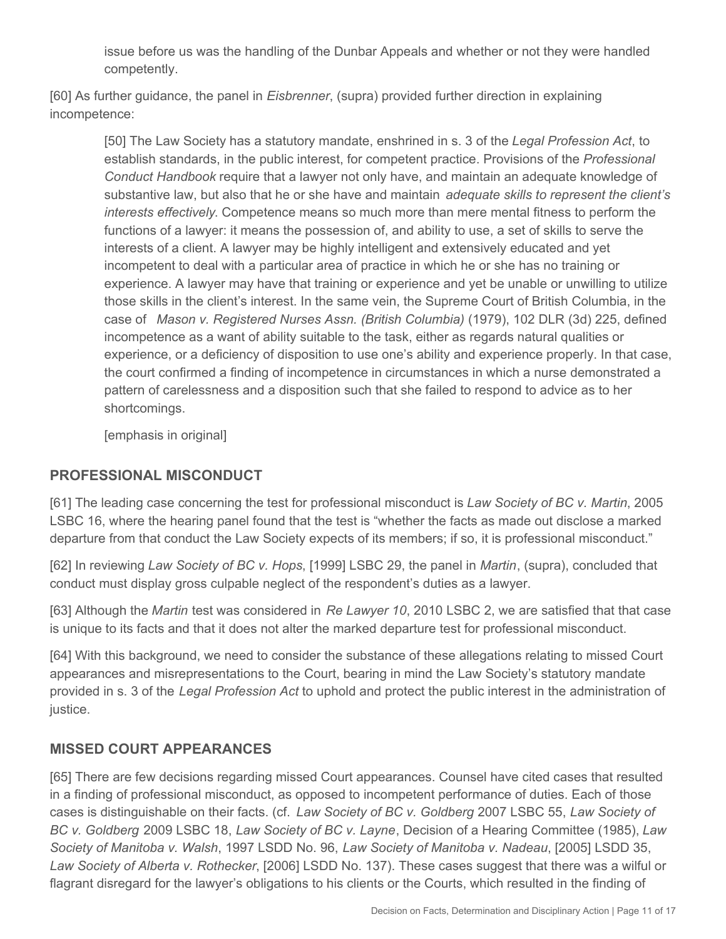issue before us was the handling of the Dunbar Appeals and whether or not they were handled competently.

[60] As further guidance, the panel in *Eisbrenner*, (supra) provided further direction in explaining incompetence:

[50] The Law Society has a statutory mandate, enshrined in s. 3 of the *Legal Profession Act*, to establish standards, in the public interest, for competent practice. Provisions of the *Professional Conduct Handbook* require that a lawyer not only have, and maintain an adequate knowledge of substantive law, but also that he or she have and maintain *adequate skills to represent the client's interests effectively*. Competence means so much more than mere mental fitness to perform the functions of a lawyer: it means the possession of, and ability to use, a set of skills to serve the interests of a client. A lawyer may be highly intelligent and extensively educated and yet incompetent to deal with a particular area of practice in which he or she has no training or experience. A lawyer may have that training or experience and yet be unable or unwilling to utilize those skills in the client's interest. In the same vein, the Supreme Court of British Columbia, in the case of *Mason v. Registered Nurses Assn. (British Columbia)* (1979), 102 DLR (3d) 225, defined incompetence as a want of ability suitable to the task, either as regards natural qualities or experience, or a deficiency of disposition to use one's ability and experience properly. In that case, the court confirmed a finding of incompetence in circumstances in which a nurse demonstrated a pattern of carelessness and a disposition such that she failed to respond to advice as to her shortcomings.

[emphasis in original]

#### **PROFESSIONAL MISCONDUCT**

[61] The leading case concerning the test for professional misconduct is *Law Society of BC v. Martin*, 2005 LSBC 16, where the hearing panel found that the test is "whether the facts as made out disclose a marked departure from that conduct the Law Society expects of its members; if so, it is professional misconduct."

[62] In reviewing *Law Society of BC v. Hops*, [1999] LSBC 29, the panel in *Martin*, (supra), concluded that conduct must display gross culpable neglect of the respondent's duties as a lawyer.

[63] Although the *Martin* test was considered in *Re Lawyer 10*, 2010 LSBC 2, we are satisfied that that case is unique to its facts and that it does not alter the marked departure test for professional misconduct.

[64] With this background, we need to consider the substance of these allegations relating to missed Court appearances and misrepresentations to the Court, bearing in mind the Law Society's statutory mandate provided in s. 3 of the *Legal Profession Act* to uphold and protect the public interest in the administration of justice.

#### **MISSED COURT APPEARANCES**

[65] There are few decisions regarding missed Court appearances. Counsel have cited cases that resulted in a finding of professional misconduct, as opposed to incompetent performance of duties. Each of those cases is distinguishable on their facts. (cf. *Law Society of BC v. Goldberg* 2007 LSBC 55, *Law Society of BC v. Goldberg* 2009 LSBC 18, *Law Society of BC v. Layne*, Decision of a Hearing Committee (1985), *Law Society of Manitoba v. Walsh*, 1997 LSDD No. 96, *Law Society of Manitoba v. Nadeau*, [2005] LSDD 35, *Law Society of Alberta v. Rothecker*, [2006] LSDD No. 137). These cases suggest that there was a wilful or flagrant disregard for the lawyer's obligations to his clients or the Courts, which resulted in the finding of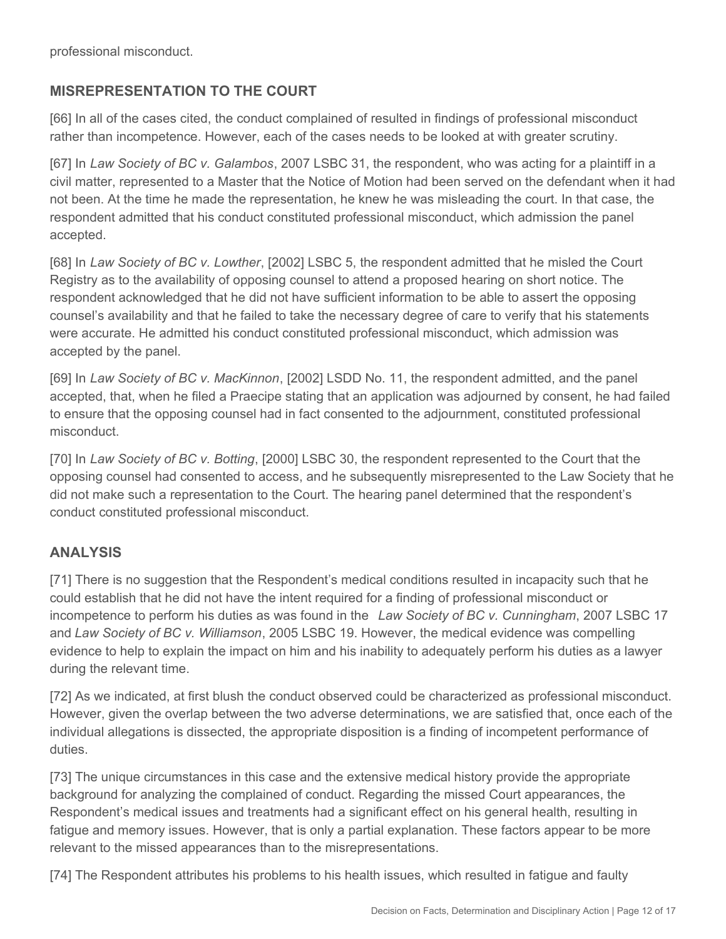professional misconduct.

#### **MISREPRESENTATION TO THE COURT**

[66] In all of the cases cited, the conduct complained of resulted in findings of professional misconduct rather than incompetence. However, each of the cases needs to be looked at with greater scrutiny.

[67] In *Law Society of BC v. Galambos*, 2007 LSBC 31, the respondent, who was acting for a plaintiff in a civil matter, represented to a Master that the Notice of Motion had been served on the defendant when it had not been. At the time he made the representation, he knew he was misleading the court. In that case, the respondent admitted that his conduct constituted professional misconduct, which admission the panel accepted.

[68] In *Law Society of BC v. Lowther*, [2002] LSBC 5, the respondent admitted that he misled the Court Registry as to the availability of opposing counsel to attend a proposed hearing on short notice. The respondent acknowledged that he did not have sufficient information to be able to assert the opposing counsel's availability and that he failed to take the necessary degree of care to verify that his statements were accurate. He admitted his conduct constituted professional misconduct, which admission was accepted by the panel.

[69] In *Law Society of BC v. MacKinnon*, [2002] LSDD No. 11, the respondent admitted, and the panel accepted, that, when he filed a Praecipe stating that an application was adjourned by consent, he had failed to ensure that the opposing counsel had in fact consented to the adjournment, constituted professional misconduct.

[70] In *Law Society of BC v. Botting*, [2000] LSBC 30, the respondent represented to the Court that the opposing counsel had consented to access, and he subsequently misrepresented to the Law Society that he did not make such a representation to the Court. The hearing panel determined that the respondent's conduct constituted professional misconduct.

# **ANALYSIS**

[71] There is no suggestion that the Respondent's medical conditions resulted in incapacity such that he could establish that he did not have the intent required for a finding of professional misconduct or incompetence to perform his duties as was found in the *Law Society of BC v. Cunningham*, 2007 LSBC 17 and *Law Society of BC v. Williamson*, 2005 LSBC 19. However, the medical evidence was compelling evidence to help to explain the impact on him and his inability to adequately perform his duties as a lawyer during the relevant time.

[72] As we indicated, at first blush the conduct observed could be characterized as professional misconduct. However, given the overlap between the two adverse determinations, we are satisfied that, once each of the individual allegations is dissected, the appropriate disposition is a finding of incompetent performance of duties.

[73] The unique circumstances in this case and the extensive medical history provide the appropriate background for analyzing the complained of conduct. Regarding the missed Court appearances, the Respondent's medical issues and treatments had a significant effect on his general health, resulting in fatigue and memory issues. However, that is only a partial explanation. These factors appear to be more relevant to the missed appearances than to the misrepresentations.

[74] The Respondent attributes his problems to his health issues, which resulted in fatigue and faulty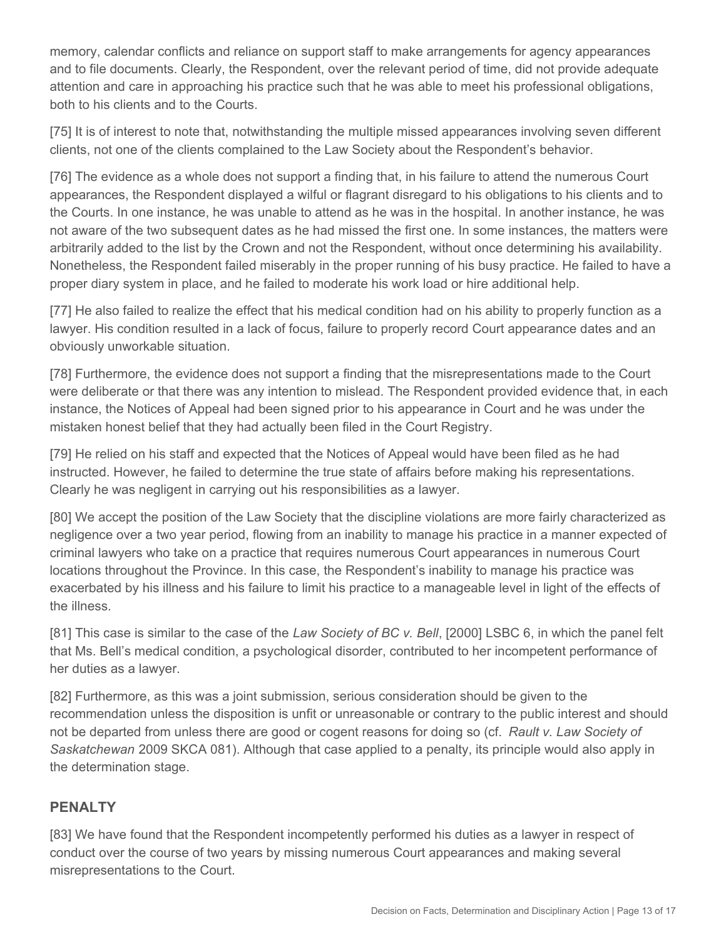memory, calendar conflicts and reliance on support staff to make arrangements for agency appearances and to file documents. Clearly, the Respondent, over the relevant period of time, did not provide adequate attention and care in approaching his practice such that he was able to meet his professional obligations, both to his clients and to the Courts.

[75] It is of interest to note that, notwithstanding the multiple missed appearances involving seven different clients, not one of the clients complained to the Law Society about the Respondent's behavior.

[76] The evidence as a whole does not support a finding that, in his failure to attend the numerous Court appearances, the Respondent displayed a wilful or flagrant disregard to his obligations to his clients and to the Courts. In one instance, he was unable to attend as he was in the hospital. In another instance, he was not aware of the two subsequent dates as he had missed the first one. In some instances, the matters were arbitrarily added to the list by the Crown and not the Respondent, without once determining his availability. Nonetheless, the Respondent failed miserably in the proper running of his busy practice. He failed to have a proper diary system in place, and he failed to moderate his work load or hire additional help.

[77] He also failed to realize the effect that his medical condition had on his ability to properly function as a lawyer. His condition resulted in a lack of focus, failure to properly record Court appearance dates and an obviously unworkable situation.

[78] Furthermore, the evidence does not support a finding that the misrepresentations made to the Court were deliberate or that there was any intention to mislead. The Respondent provided evidence that, in each instance, the Notices of Appeal had been signed prior to his appearance in Court and he was under the mistaken honest belief that they had actually been filed in the Court Registry.

[79] He relied on his staff and expected that the Notices of Appeal would have been filed as he had instructed. However, he failed to determine the true state of affairs before making his representations. Clearly he was negligent in carrying out his responsibilities as a lawyer.

[80] We accept the position of the Law Society that the discipline violations are more fairly characterized as negligence over a two year period, flowing from an inability to manage his practice in a manner expected of criminal lawyers who take on a practice that requires numerous Court appearances in numerous Court locations throughout the Province. In this case, the Respondent's inability to manage his practice was exacerbated by his illness and his failure to limit his practice to a manageable level in light of the effects of the illness.

[81] This case is similar to the case of the *Law Society of BC v. Bell*, [2000] LSBC 6, in which the panel felt that Ms. Bell's medical condition, a psychological disorder, contributed to her incompetent performance of her duties as a lawyer.

[82] Furthermore, as this was a joint submission, serious consideration should be given to the recommendation unless the disposition is unfit or unreasonable or contrary to the public interest and should not be departed from unless there are good or cogent reasons for doing so (cf. *Rault v. Law Society of Saskatchewan* 2009 SKCA 081). Although that case applied to a penalty, its principle would also apply in the determination stage.

# **PENALTY**

[83] We have found that the Respondent incompetently performed his duties as a lawyer in respect of conduct over the course of two years by missing numerous Court appearances and making several misrepresentations to the Court.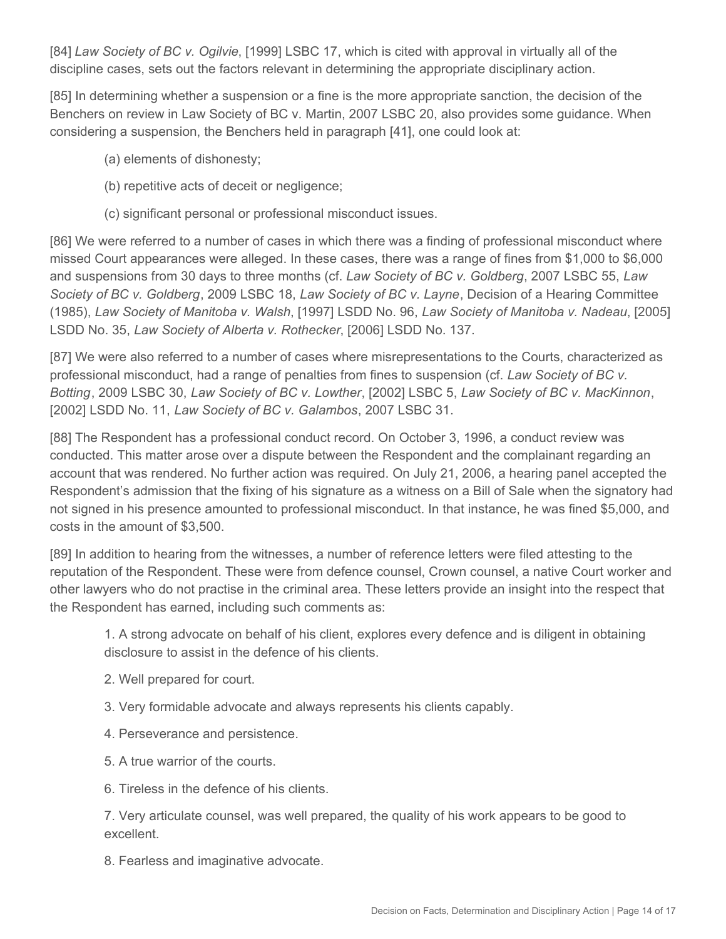[84] *Law Society of BC v. Ogilvie*, [1999] LSBC 17, which is cited with approval in virtually all of the discipline cases, sets out the factors relevant in determining the appropriate disciplinary action.

[85] In determining whether a suspension or a fine is the more appropriate sanction, the decision of the Benchers on review in Law Society of BC v. Martin, 2007 LSBC 20, also provides some guidance. When considering a suspension, the Benchers held in paragraph [41], one could look at:

- (a) elements of dishonesty;
- (b) repetitive acts of deceit or negligence;
- (c) significant personal or professional misconduct issues.

[86] We were referred to a number of cases in which there was a finding of professional misconduct where missed Court appearances were alleged. In these cases, there was a range of fines from \$1,000 to \$6,000 and suspensions from 30 days to three months (cf. *Law Society of BC v. Goldberg*, 2007 LSBC 55, *Law Society of BC v. Goldberg*, 2009 LSBC 18, *Law Society of BC v. Layne*, Decision of a Hearing Committee (1985), *Law Society of Manitoba v. Walsh*, [1997] LSDD No. 96, *Law Society of Manitoba v. Nadeau*, [2005] LSDD No. 35, *Law Society of Alberta v. Rothecker*, [2006] LSDD No. 137.

[87] We were also referred to a number of cases where misrepresentations to the Courts, characterized as professional misconduct, had a range of penalties from fines to suspension (cf. *Law Society of BC v. Botting*, 2009 LSBC 30, *Law Society of BC v. Lowther*, [2002] LSBC 5, *Law Society of BC v. MacKinnon*, [2002] LSDD No. 11, *Law Society of BC v. Galambos*, 2007 LSBC 31.

[88] The Respondent has a professional conduct record. On October 3, 1996, a conduct review was conducted. This matter arose over a dispute between the Respondent and the complainant regarding an account that was rendered. No further action was required. On July 21, 2006, a hearing panel accepted the Respondent's admission that the fixing of his signature as a witness on a Bill of Sale when the signatory had not signed in his presence amounted to professional misconduct. In that instance, he was fined \$5,000, and costs in the amount of \$3,500.

[89] In addition to hearing from the witnesses, a number of reference letters were filed attesting to the reputation of the Respondent. These were from defence counsel, Crown counsel, a native Court worker and other lawyers who do not practise in the criminal area. These letters provide an insight into the respect that the Respondent has earned, including such comments as:

1. A strong advocate on behalf of his client, explores every defence and is diligent in obtaining disclosure to assist in the defence of his clients.

- 2. Well prepared for court.
- 3. Very formidable advocate and always represents his clients capably.
- 4. Perseverance and persistence.
- 5. A true warrior of the courts.
- 6. Tireless in the defence of his clients.

7. Very articulate counsel, was well prepared, the quality of his work appears to be good to excellent.

8. Fearless and imaginative advocate.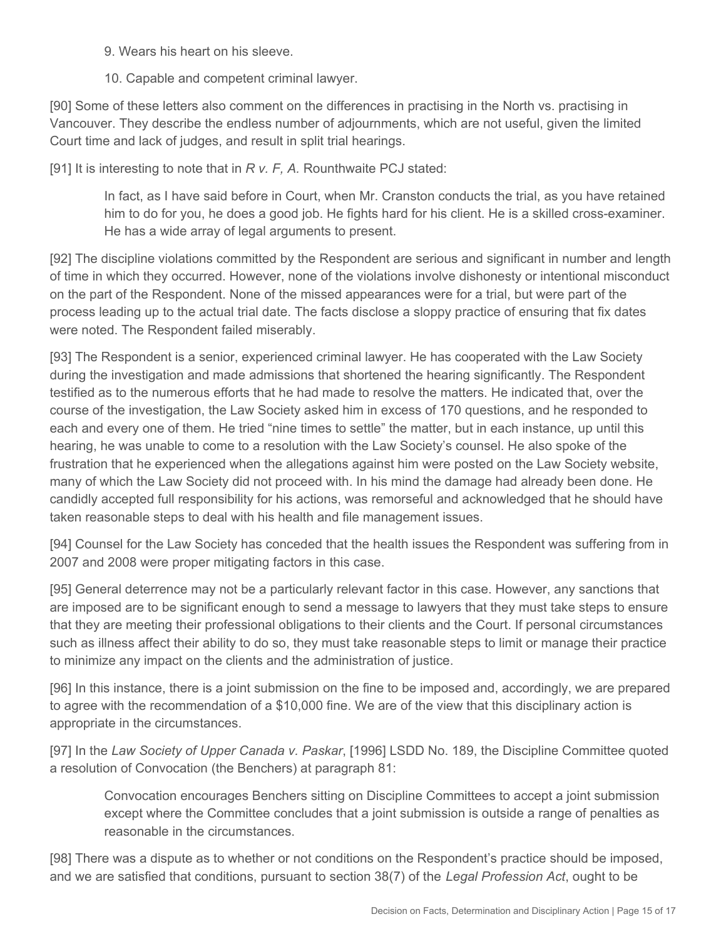9. Wears his heart on his sleeve.

10. Capable and competent criminal lawyer.

[90] Some of these letters also comment on the differences in practising in the North vs. practising in Vancouver. They describe the endless number of adjournments, which are not useful, given the limited Court time and lack of judges, and result in split trial hearings.

[91] It is interesting to note that in *R v. F, A.* Rounthwaite PCJ stated:

In fact, as I have said before in Court, when Mr. Cranston conducts the trial, as you have retained him to do for you, he does a good job. He fights hard for his client. He is a skilled cross-examiner. He has a wide array of legal arguments to present.

[92] The discipline violations committed by the Respondent are serious and significant in number and length of time in which they occurred. However, none of the violations involve dishonesty or intentional misconduct on the part of the Respondent. None of the missed appearances were for a trial, but were part of the process leading up to the actual trial date. The facts disclose a sloppy practice of ensuring that fix dates were noted. The Respondent failed miserably.

[93] The Respondent is a senior, experienced criminal lawyer. He has cooperated with the Law Society during the investigation and made admissions that shortened the hearing significantly. The Respondent testified as to the numerous efforts that he had made to resolve the matters. He indicated that, over the course of the investigation, the Law Society asked him in excess of 170 questions, and he responded to each and every one of them. He tried "nine times to settle" the matter, but in each instance, up until this hearing, he was unable to come to a resolution with the Law Society's counsel. He also spoke of the frustration that he experienced when the allegations against him were posted on the Law Society website, many of which the Law Society did not proceed with. In his mind the damage had already been done. He candidly accepted full responsibility for his actions, was remorseful and acknowledged that he should have taken reasonable steps to deal with his health and file management issues.

[94] Counsel for the Law Society has conceded that the health issues the Respondent was suffering from in 2007 and 2008 were proper mitigating factors in this case.

[95] General deterrence may not be a particularly relevant factor in this case. However, any sanctions that are imposed are to be significant enough to send a message to lawyers that they must take steps to ensure that they are meeting their professional obligations to their clients and the Court. If personal circumstances such as illness affect their ability to do so, they must take reasonable steps to limit or manage their practice to minimize any impact on the clients and the administration of justice.

[96] In this instance, there is a joint submission on the fine to be imposed and, accordingly, we are prepared to agree with the recommendation of a \$10,000 fine. We are of the view that this disciplinary action is appropriate in the circumstances.

[97] In the *Law Society of Upper Canada v. Paskar*, [1996] LSDD No. 189, the Discipline Committee quoted a resolution of Convocation (the Benchers) at paragraph 81:

Convocation encourages Benchers sitting on Discipline Committees to accept a joint submission except where the Committee concludes that a joint submission is outside a range of penalties as reasonable in the circumstances.

[98] There was a dispute as to whether or not conditions on the Respondent's practice should be imposed, and we are satisfied that conditions, pursuant to section 38(7) of the *Legal Profession Act*, ought to be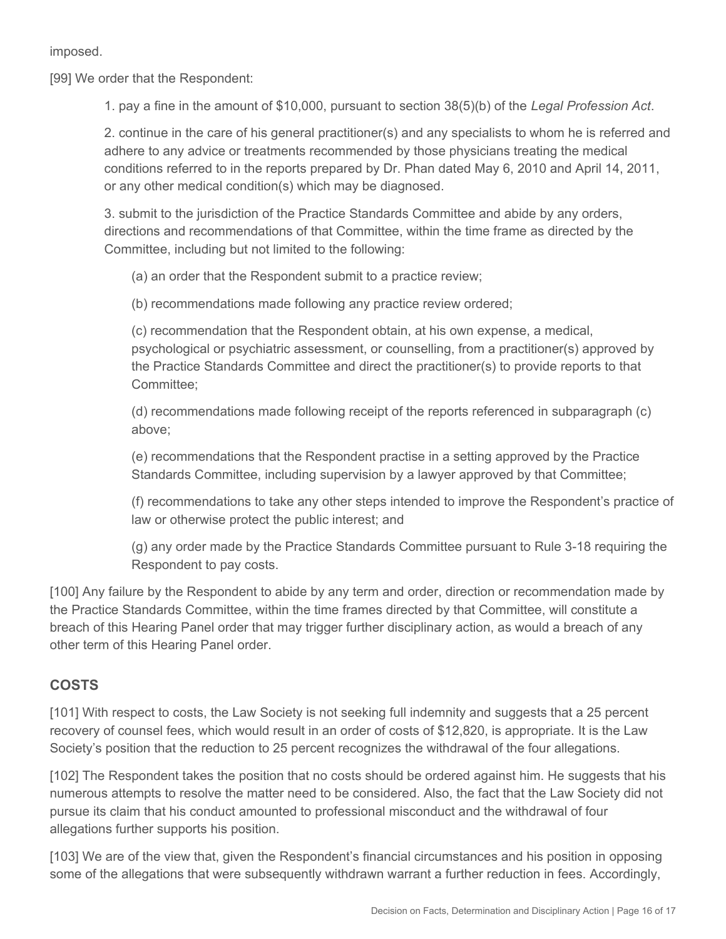imposed.

[99] We order that the Respondent:

1. pay a fine in the amount of \$10,000, pursuant to section 38(5)(b) of the *Legal Profession Act*.

2. continue in the care of his general practitioner(s) and any specialists to whom he is referred and adhere to any advice or treatments recommended by those physicians treating the medical conditions referred to in the reports prepared by Dr. Phan dated May 6, 2010 and April 14, 2011, or any other medical condition(s) which may be diagnosed.

3. submit to the jurisdiction of the Practice Standards Committee and abide by any orders, directions and recommendations of that Committee, within the time frame as directed by the Committee, including but not limited to the following:

(a) an order that the Respondent submit to a practice review;

(b) recommendations made following any practice review ordered;

(c) recommendation that the Respondent obtain, at his own expense, a medical, psychological or psychiatric assessment, or counselling, from a practitioner(s) approved by the Practice Standards Committee and direct the practitioner(s) to provide reports to that Committee;

(d) recommendations made following receipt of the reports referenced in subparagraph (c) above;

(e) recommendations that the Respondent practise in a setting approved by the Practice Standards Committee, including supervision by a lawyer approved by that Committee;

(f) recommendations to take any other steps intended to improve the Respondent's practice of law or otherwise protect the public interest; and

(g) any order made by the Practice Standards Committee pursuant to Rule 3-18 requiring the Respondent to pay costs.

[100] Any failure by the Respondent to abide by any term and order, direction or recommendation made by the Practice Standards Committee, within the time frames directed by that Committee, will constitute a breach of this Hearing Panel order that may trigger further disciplinary action, as would a breach of any other term of this Hearing Panel order.

#### **COSTS**

[101] With respect to costs, the Law Society is not seeking full indemnity and suggests that a 25 percent recovery of counsel fees, which would result in an order of costs of \$12,820, is appropriate. It is the Law Society's position that the reduction to 25 percent recognizes the withdrawal of the four allegations.

[102] The Respondent takes the position that no costs should be ordered against him. He suggests that his numerous attempts to resolve the matter need to be considered. Also, the fact that the Law Society did not pursue its claim that his conduct amounted to professional misconduct and the withdrawal of four allegations further supports his position.

[103] We are of the view that, given the Respondent's financial circumstances and his position in opposing some of the allegations that were subsequently withdrawn warrant a further reduction in fees. Accordingly,